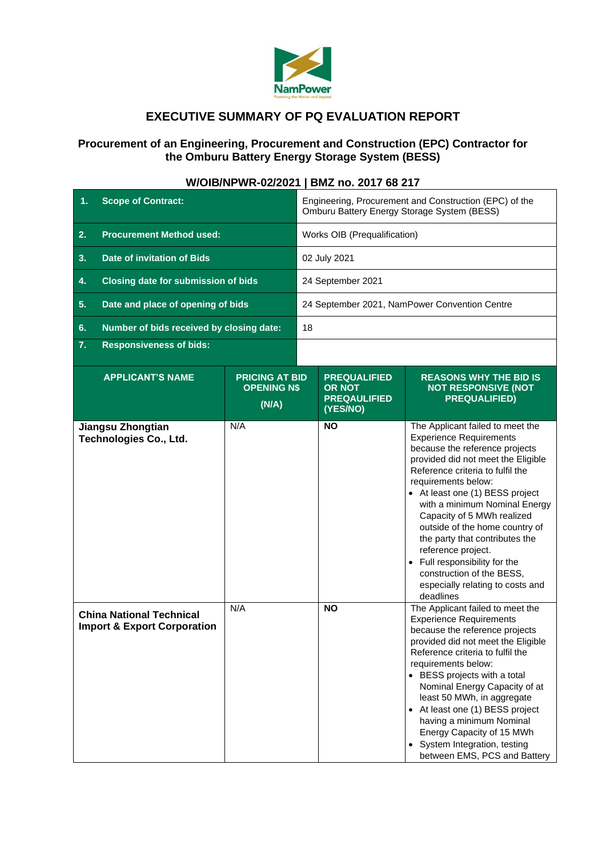

## **EXECUTIVE SUMMARY OF PQ EVALUATION REPORT**

## **Procurement of an Engineering, Procurement and Construction (EPC) Contractor for the Omburu Battery Energy Storage System (BESS)**

| <b>Scope of Contract:</b><br>1.                                           |                                                      | Engineering, Procurement and Construction (EPC) of the<br>Omburu Battery Energy Storage System (BESS) |                                                                         |                                                                                                                                                                                                                                                                                                                                                                                                                                                                                                                  |
|---------------------------------------------------------------------------|------------------------------------------------------|-------------------------------------------------------------------------------------------------------|-------------------------------------------------------------------------|------------------------------------------------------------------------------------------------------------------------------------------------------------------------------------------------------------------------------------------------------------------------------------------------------------------------------------------------------------------------------------------------------------------------------------------------------------------------------------------------------------------|
| <b>Procurement Method used:</b><br>2.                                     |                                                      | Works OIB (Prequalification)                                                                          |                                                                         |                                                                                                                                                                                                                                                                                                                                                                                                                                                                                                                  |
| <b>Date of invitation of Bids</b><br>3.                                   |                                                      | 02 July 2021                                                                                          |                                                                         |                                                                                                                                                                                                                                                                                                                                                                                                                                                                                                                  |
| <b>Closing date for submission of bids</b><br>4.                          |                                                      | 24 September 2021                                                                                     |                                                                         |                                                                                                                                                                                                                                                                                                                                                                                                                                                                                                                  |
| Date and place of opening of bids<br>5.                                   |                                                      | 24 September 2021, NamPower Convention Centre                                                         |                                                                         |                                                                                                                                                                                                                                                                                                                                                                                                                                                                                                                  |
| Number of bids received by closing date:<br>6.                            |                                                      | 18                                                                                                    |                                                                         |                                                                                                                                                                                                                                                                                                                                                                                                                                                                                                                  |
| 7.<br><b>Responsiveness of bids:</b>                                      |                                                      |                                                                                                       |                                                                         |                                                                                                                                                                                                                                                                                                                                                                                                                                                                                                                  |
| <b>APPLICANT'S NAME</b>                                                   | <b>PRICING AT BID</b><br><b>OPENING N\$</b><br>(N/A) |                                                                                                       | <b>PREQUALIFIED</b><br><b>OR NOT</b><br><b>PREQAULIFIED</b><br>(YES/NO) | <b>REASONS WHY THE BID IS</b><br><b>NOT RESPONSIVE (NOT</b><br><b>PREQUALIFIED)</b>                                                                                                                                                                                                                                                                                                                                                                                                                              |
| Jiangsu Zhongtian<br><b>Technologies Co., Ltd.</b>                        | N/A                                                  |                                                                                                       | <b>NO</b>                                                               | The Applicant failed to meet the<br><b>Experience Requirements</b><br>because the reference projects<br>provided did not meet the Eligible<br>Reference criteria to fulfil the<br>requirements below:<br>• At least one (1) BESS project<br>with a minimum Nominal Energy<br>Capacity of 5 MWh realized<br>outside of the home country of<br>the party that contributes the<br>reference project.<br>• Full responsibility for the<br>construction of the BESS,<br>especially relating to costs and<br>deadlines |
| <b>China National Technical</b><br><b>Import &amp; Export Corporation</b> | N/A                                                  |                                                                                                       | <b>NO</b>                                                               | The Applicant failed to meet the<br><b>Experience Requirements</b><br>because the reference projects<br>provided did not meet the Eligible<br>Reference criteria to fulfil the<br>requirements below:<br>• BESS projects with a total<br>Nominal Energy Capacity of at<br>least 50 MWh, in aggregate<br>• At least one (1) BESS project<br>having a minimum Nominal<br>Energy Capacity of 15 MWh<br>• System Integration, testing<br>between EMS, PCS and Battery                                                |

## **W/OIB/NPWR-02/2021 | BMZ no. 2017 68 217**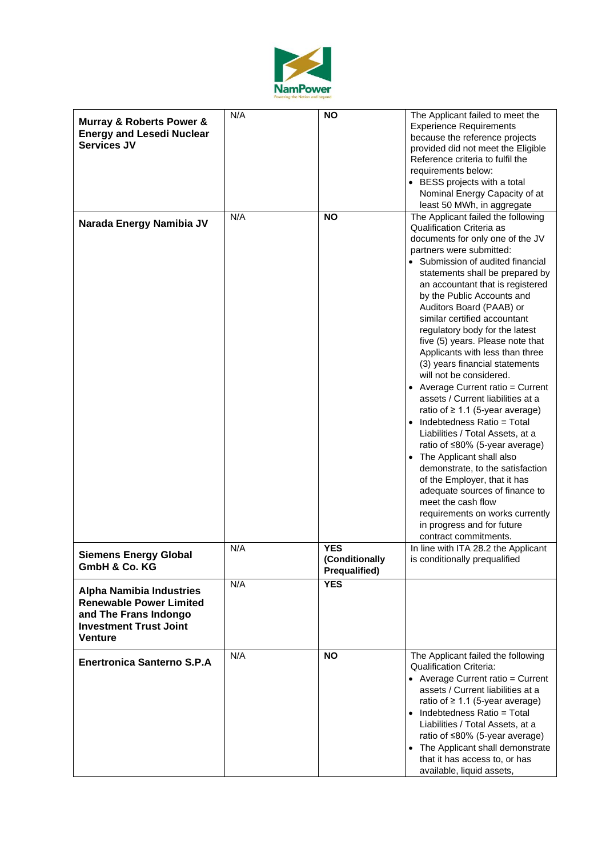

| <b>Murray &amp; Roberts Power &amp;</b><br><b>Energy and Lesedi Nuclear</b><br><b>Services JV</b>                                             | N/A | <b>NO</b>                                     | The Applicant failed to meet the<br><b>Experience Requirements</b><br>because the reference projects<br>provided did not meet the Eligible<br>Reference criteria to fulfil the<br>requirements below:<br>• BESS projects with a total<br>Nominal Energy Capacity of at<br>least 50 MWh, in aggregate                                                                                                                                                                                                                                                                                                                                                                                                                                                                                                                                                                                                                                                                                                   |
|-----------------------------------------------------------------------------------------------------------------------------------------------|-----|-----------------------------------------------|--------------------------------------------------------------------------------------------------------------------------------------------------------------------------------------------------------------------------------------------------------------------------------------------------------------------------------------------------------------------------------------------------------------------------------------------------------------------------------------------------------------------------------------------------------------------------------------------------------------------------------------------------------------------------------------------------------------------------------------------------------------------------------------------------------------------------------------------------------------------------------------------------------------------------------------------------------------------------------------------------------|
| Narada Energy Namibia JV                                                                                                                      | N/A | <b>NO</b>                                     | The Applicant failed the following<br><b>Qualification Criteria as</b><br>documents for only one of the JV<br>partners were submitted:<br>• Submission of audited financial<br>statements shall be prepared by<br>an accountant that is registered<br>by the Public Accounts and<br>Auditors Board (PAAB) or<br>similar certified accountant<br>regulatory body for the latest<br>five (5) years. Please note that<br>Applicants with less than three<br>(3) years financial statements<br>will not be considered.<br>• Average Current ratio = Current<br>assets / Current liabilities at a<br>ratio of $\geq 1.1$ (5-year average)<br>$\bullet$ Indebtedness Ratio = Total<br>Liabilities / Total Assets, at a<br>ratio of ≤80% (5-year average)<br>• The Applicant shall also<br>demonstrate, to the satisfaction<br>of the Employer, that it has<br>adequate sources of finance to<br>meet the cash flow<br>requirements on works currently<br>in progress and for future<br>contract commitments. |
| <b>Siemens Energy Global</b><br>GmbH & Co. KG                                                                                                 | N/A | <b>YES</b><br>(Conditionally<br>Prequalified) | In line with ITA 28.2 the Applicant<br>is conditionally prequalified                                                                                                                                                                                                                                                                                                                                                                                                                                                                                                                                                                                                                                                                                                                                                                                                                                                                                                                                   |
| <b>Alpha Namibia Industries</b><br><b>Renewable Power Limited</b><br>and The Frans Indongo<br><b>Investment Trust Joint</b><br><b>Venture</b> | N/A | <b>YES</b>                                    |                                                                                                                                                                                                                                                                                                                                                                                                                                                                                                                                                                                                                                                                                                                                                                                                                                                                                                                                                                                                        |
| <b>Enertronica Santerno S.P.A</b>                                                                                                             | N/A | <b>NO</b>                                     | The Applicant failed the following<br><b>Qualification Criteria:</b><br>• Average Current ratio = Current<br>assets / Current liabilities at a<br>ratio of $\geq 1.1$ (5-year average)<br>$\bullet$ Indebtedness Ratio = Total<br>Liabilities / Total Assets, at a<br>ratio of ≤80% (5-year average)<br>• The Applicant shall demonstrate<br>that it has access to, or has<br>available, liquid assets,                                                                                                                                                                                                                                                                                                                                                                                                                                                                                                                                                                                                |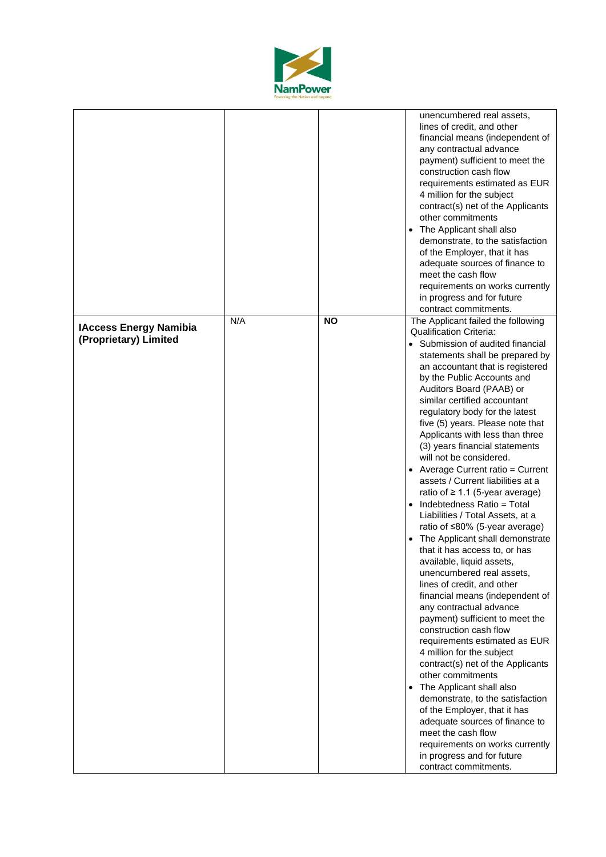

|                                                        |     |           | unencumbered real assets,<br>lines of credit, and other<br>financial means (independent of<br>any contractual advance<br>payment) sufficient to meet the<br>construction cash flow<br>requirements estimated as EUR<br>4 million for the subject<br>contract(s) net of the Applicants<br>other commitments<br>• The Applicant shall also<br>demonstrate, to the satisfaction<br>of the Employer, that it has<br>adequate sources of finance to<br>meet the cash flow<br>requirements on works currently<br>in progress and for future<br>contract commitments.                                                                                                                                                                                                                                                                                                                                                                                                                                                                                                                                                                                                                                                                                                                                                                              |
|--------------------------------------------------------|-----|-----------|---------------------------------------------------------------------------------------------------------------------------------------------------------------------------------------------------------------------------------------------------------------------------------------------------------------------------------------------------------------------------------------------------------------------------------------------------------------------------------------------------------------------------------------------------------------------------------------------------------------------------------------------------------------------------------------------------------------------------------------------------------------------------------------------------------------------------------------------------------------------------------------------------------------------------------------------------------------------------------------------------------------------------------------------------------------------------------------------------------------------------------------------------------------------------------------------------------------------------------------------------------------------------------------------------------------------------------------------|
| <b>IAccess Energy Namibia</b><br>(Proprietary) Limited | N/A | <b>NO</b> | The Applicant failed the following<br><b>Qualification Criteria:</b><br>• Submission of audited financial<br>statements shall be prepared by<br>an accountant that is registered<br>by the Public Accounts and<br>Auditors Board (PAAB) or<br>similar certified accountant<br>regulatory body for the latest<br>five (5) years. Please note that<br>Applicants with less than three<br>(3) years financial statements<br>will not be considered.<br>• Average Current ratio = Current<br>assets / Current liabilities at a<br>ratio of $\geq 1.1$ (5-year average)<br>• Indebtedness Ratio = Total<br>Liabilities / Total Assets, at a<br>ratio of ≤80% (5-year average)<br>• The Applicant shall demonstrate<br>that it has access to, or has<br>available, liquid assets,<br>unencumbered real assets,<br>lines of credit, and other<br>financial means (independent of<br>any contractual advance<br>payment) sufficient to meet the<br>construction cash flow<br>requirements estimated as EUR<br>4 million for the subject<br>contract(s) net of the Applicants<br>other commitments<br>The Applicant shall also<br>demonstrate, to the satisfaction<br>of the Employer, that it has<br>adequate sources of finance to<br>meet the cash flow<br>requirements on works currently<br>in progress and for future<br>contract commitments. |